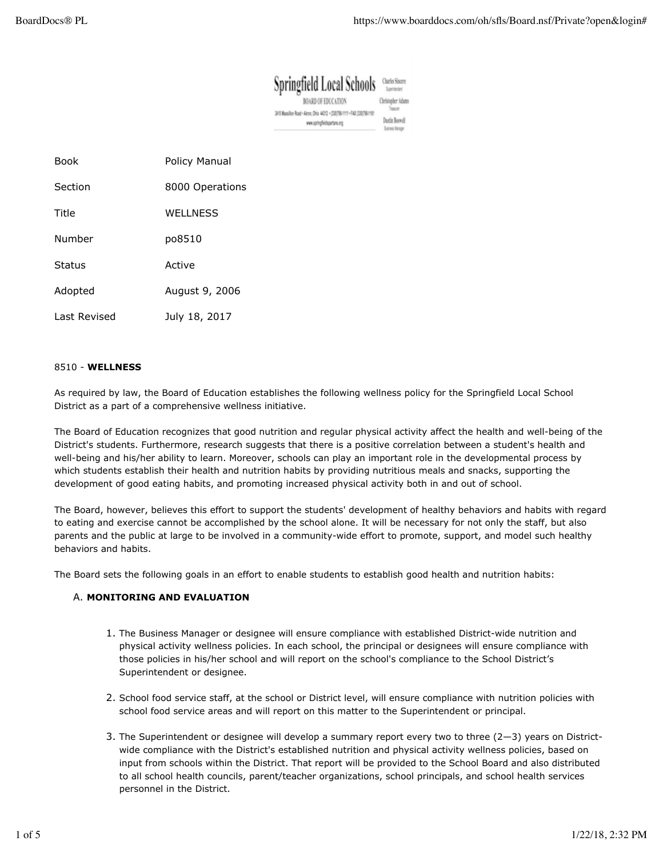| Springfield Local Schools                                                                              | Charles Sincere<br>Sovingent             |
|--------------------------------------------------------------------------------------------------------|------------------------------------------|
| <b>BOARD OF EDUCATION</b>                                                                              | Christopher Adams                        |
| 3/10 Wassillon Road - Akron, Ohio 44312 - (200706-1111 - FAX (200706-1191)<br>ww.spingfeldspartans.org | Ducin Baswell<br><b>Business Manager</b> |

| Book         | Policy Manual    |
|--------------|------------------|
| Section      | 8000 Operations  |
| Title        | <b>WELL NESS</b> |
| Number       | po8510           |
| Status       | Active           |
| Adopted      | August 9, 2006   |
| Last Revised | July 18, 2017    |

#### 8510 - **WELLNESS**

As required by law, the Board of Education establishes the following wellness policy for the Springfield Local School District as a part of a comprehensive wellness initiative.

The Board of Education recognizes that good nutrition and regular physical activity affect the health and well-being of the District's students. Furthermore, research suggests that there is a positive correlation between a student's health and well-being and his/her ability to learn. Moreover, schools can play an important role in the developmental process by which students establish their health and nutrition habits by providing nutritious meals and snacks, supporting the development of good eating habits, and promoting increased physical activity both in and out of school.

The Board, however, believes this effort to support the students' development of healthy behaviors and habits with regard to eating and exercise cannot be accomplished by the school alone. It will be necessary for not only the staff, but also parents and the public at large to be involved in a community-wide effort to promote, support, and model such healthy behaviors and habits.

The Board sets the following goals in an effort to enable students to establish good health and nutrition habits:

### **MONITORING AND EVALUATION** A.

- 1. The Business Manager or designee will ensure compliance with established District-wide nutrition and physical activity wellness policies. In each school, the principal or designees will ensure compliance with those policies in his/her school and will report on the school's compliance to the School District's Superintendent or designee.
- 2. School food service staff, at the school or District level, will ensure compliance with nutrition policies with school food service areas and will report on this matter to the Superintendent or principal.
- 3. The Superintendent or designee will develop a summary report every two to three (2-3) years on Districtwide compliance with the District's established nutrition and physical activity wellness policies, based on input from schools within the District. That report will be provided to the School Board and also distributed to all school health councils, parent/teacher organizations, school principals, and school health services personnel in the District.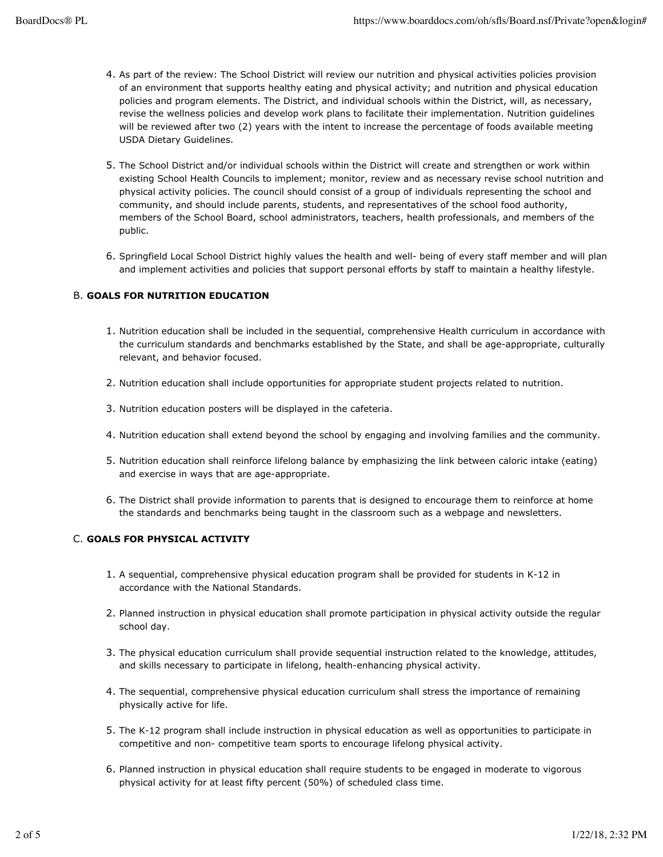- 4. As part of the review: The School District will review our nutrition and physical activities policies provision of an environment that supports healthy eating and physical activity; and nutrition and physical education policies and program elements. The District, and individual schools within the District, will, as necessary, revise the wellness policies and develop work plans to facilitate their implementation. Nutrition guidelines will be reviewed after two (2) years with the intent to increase the percentage of foods available meeting USDA Dietary Guidelines.
- 5. The School District and/or individual schools within the District will create and strengthen or work within existing School Health Councils to implement; monitor, review and as necessary revise school nutrition and physical activity policies. The council should consist of a group of individuals representing the school and community, and should include parents, students, and representatives of the school food authority, members of the School Board, school administrators, teachers, health professionals, and members of the public.
- Springfield Local School District highly values the health and well- being of every staff member and will plan 6. and implement activities and policies that support personal efforts by staff to maintain a healthy lifestyle.

# **GOALS FOR NUTRITION EDUCATION** B.

- 1. Nutrition education shall be included in the sequential, comprehensive Health curriculum in accordance with the curriculum standards and benchmarks established by the State, and shall be age-appropriate, culturally relevant, and behavior focused.
- 2. Nutrition education shall include opportunities for appropriate student projects related to nutrition.
- 3. Nutrition education posters will be displayed in the cafeteria.
- 4. Nutrition education shall extend beyond the school by engaging and involving families and the community.
- 5. Nutrition education shall reinforce lifelong balance by emphasizing the link between caloric intake (eating) and exercise in ways that are age-appropriate.
- 6. The District shall provide information to parents that is designed to encourage them to reinforce at home the standards and benchmarks being taught in the classroom such as a webpage and newsletters.

### **GOALS FOR PHYSICAL ACTIVITY** C.

- 1. A sequential, comprehensive physical education program shall be provided for students in K-12 in accordance with the National Standards.
- 2. Planned instruction in physical education shall promote participation in physical activity outside the regular school day.
- 3. The physical education curriculum shall provide sequential instruction related to the knowledge, attitudes, and skills necessary to participate in lifelong, health-enhancing physical activity.
- 4. The sequential, comprehensive physical education curriculum shall stress the importance of remaining physically active for life.
- 5. The K-12 program shall include instruction in physical education as well as opportunities to participate in competitive and non- competitive team sports to encourage lifelong physical activity.
- 6. Planned instruction in physical education shall require students to be engaged in moderate to vigorous physical activity for at least fifty percent (50%) of scheduled class time.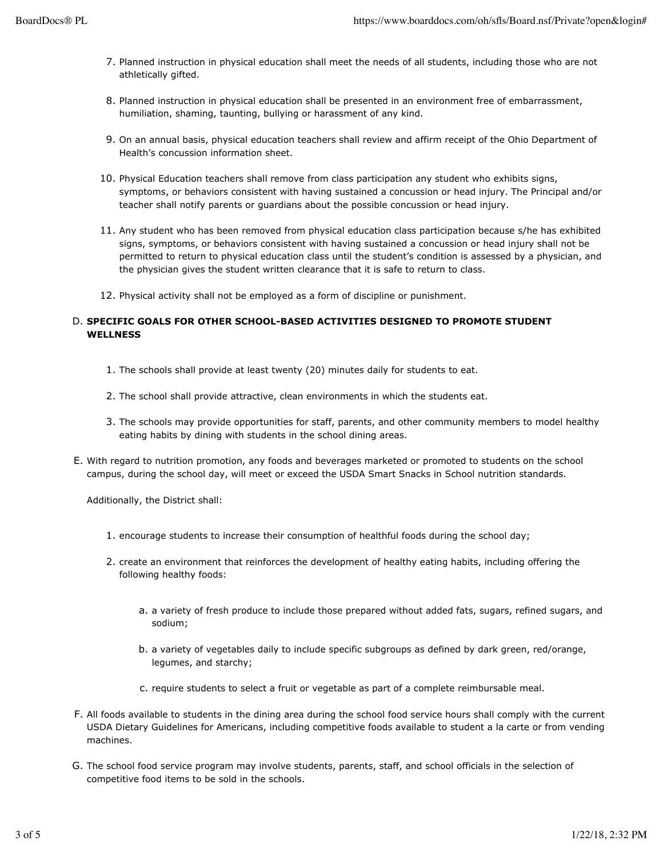- 7. Planned instruction in physical education shall meet the needs of all students, including those who are not athletically gifted.
- 8. Planned instruction in physical education shall be presented in an environment free of embarrassment, humiliation, shaming, taunting, bullying or harassment of any kind.
- 9. On an annual basis, physical education teachers shall review and affirm receipt of the Ohio Department of Health's concussion information sheet.
- 10. Physical Education teachers shall remove from class participation any student who exhibits signs, symptoms, or behaviors consistent with having sustained a concussion or head injury. The Principal and/or teacher shall notify parents or guardians about the possible concussion or head injury.
- 11. Any student who has been removed from physical education class participation because s/he has exhibited signs, symptoms, or behaviors consistent with having sustained a concussion or head injury shall not be permitted to return to physical education class until the student's condition is assessed by a physician, and the physician gives the student written clearance that it is safe to return to class.
- 12. Physical activity shall not be employed as a form of discipline or punishment.

## **SPECIFIC GOALS FOR OTHER SCHOOL-BASED ACTIVITIES DESIGNED TO PROMOTE STUDENT** D. **WELLNESS**

- 1. The schools shall provide at least twenty (20) minutes daily for students to eat.
- 2. The school shall provide attractive, clean environments in which the students eat.
- 3. The schools may provide opportunities for staff, parents, and other community members to model healthy eating habits by dining with students in the school dining areas.
- E. With regard to nutrition promotion, any foods and beverages marketed or promoted to students on the school campus, during the school day, will meet or exceed the USDA Smart Snacks in School nutrition standards.

Additionally, the District shall:

- 1. encourage students to increase their consumption of healthful foods during the school day;
- 2. create an environment that reinforces the development of healthy eating habits, including offering the following healthy foods:
	- a. a variety of fresh produce to include those prepared without added fats, sugars, refined sugars, and sodium;
	- b. a variety of vegetables daily to include specific subgroups as defined by dark green, red/orange, legumes, and starchy;
	- c. require students to select a fruit or vegetable as part of a complete reimbursable meal.
- F. All foods available to students in the dining area during the school food service hours shall comply with the current USDA Dietary Guidelines for Americans, including competitive foods available to student a la carte or from vending machines.
- G. The school food service program may involve students, parents, staff, and school officials in the selection of competitive food items to be sold in the schools.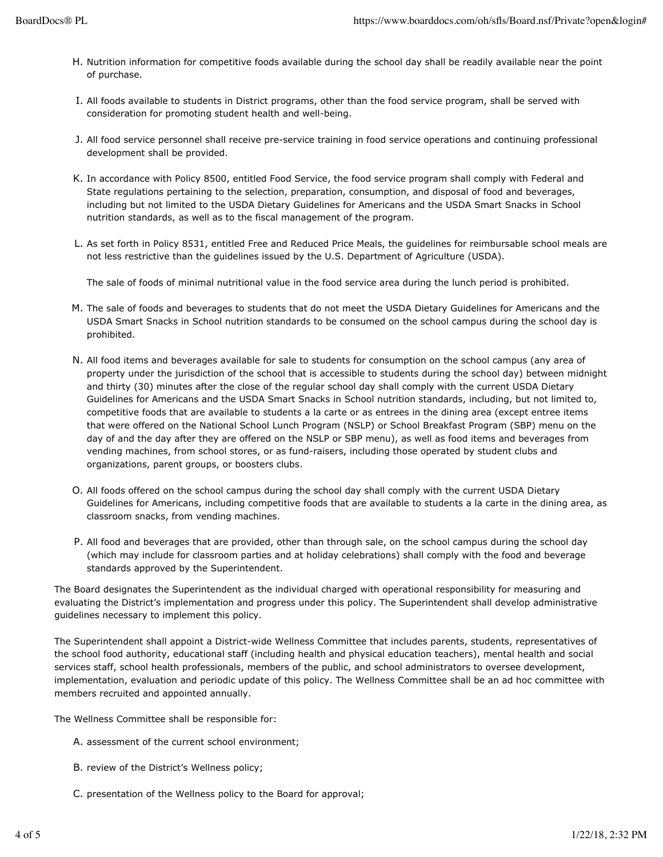- Nutrition information for competitive foods available during the school day shall be readily available near the point H. of purchase.
- I. All foods available to students in District programs, other than the food service program, shall be served with consideration for promoting student health and well-being.
- All food service personnel shall receive pre-service training in food service operations and continuing professional J. development shall be provided.
- K. In accordance with Policy 8500, entitled Food Service, the food service program shall comply with Federal and State regulations pertaining to the selection, preparation, consumption, and disposal of food and beverages, including but not limited to the USDA Dietary Guidelines for Americans and the USDA Smart Snacks in School nutrition standards, as well as to the fiscal management of the program.
- L. As set forth in Policy 8531, entitled Free and Reduced Price Meals, the guidelines for reimbursable school meals are not less restrictive than the guidelines issued by the U.S. Department of Agriculture (USDA).

The sale of foods of minimal nutritional value in the food service area during the lunch period is prohibited.

- M. The sale of foods and beverages to students that do not meet the USDA Dietary Guidelines for Americans and the USDA Smart Snacks in School nutrition standards to be consumed on the school campus during the school day is prohibited.
- All food items and beverages available for sale to students for consumption on the school campus (any area of N. property under the jurisdiction of the school that is accessible to students during the school day) between midnight and thirty (30) minutes after the close of the regular school day shall comply with the current USDA Dietary Guidelines for Americans and the USDA Smart Snacks in School nutrition standards, including, but not limited to, competitive foods that are available to students a la carte or as entrees in the dining area (except entree items that were offered on the National School Lunch Program (NSLP) or School Breakfast Program (SBP) menu on the day of and the day after they are offered on the NSLP or SBP menu), as well as food items and beverages from vending machines, from school stores, or as fund-raisers, including those operated by student clubs and organizations, parent groups, or boosters clubs.
- O. All foods offered on the school campus during the school day shall comply with the current USDA Dietary Guidelines for Americans, including competitive foods that are available to students a la carte in the dining area, as classroom snacks, from vending machines.
- P. All food and beverages that are provided, other than through sale, on the school campus during the school day (which may include for classroom parties and at holiday celebrations) shall comply with the food and beverage standards approved by the Superintendent.

The Board designates the Superintendent as the individual charged with operational responsibility for measuring and evaluating the District's implementation and progress under this policy. The Superintendent shall develop administrative guidelines necessary to implement this policy.

The Superintendent shall appoint a District-wide Wellness Committee that includes parents, students, representatives of the school food authority, educational staff (including health and physical education teachers), mental health and social services staff, school health professionals, members of the public, and school administrators to oversee development, implementation, evaluation and periodic update of this policy. The Wellness Committee shall be an ad hoc committee with members recruited and appointed annually.

The Wellness Committee shall be responsible for:

- A. assessment of the current school environment;
- B. review of the District's Wellness policy;
- C. presentation of the Wellness policy to the Board for approval;